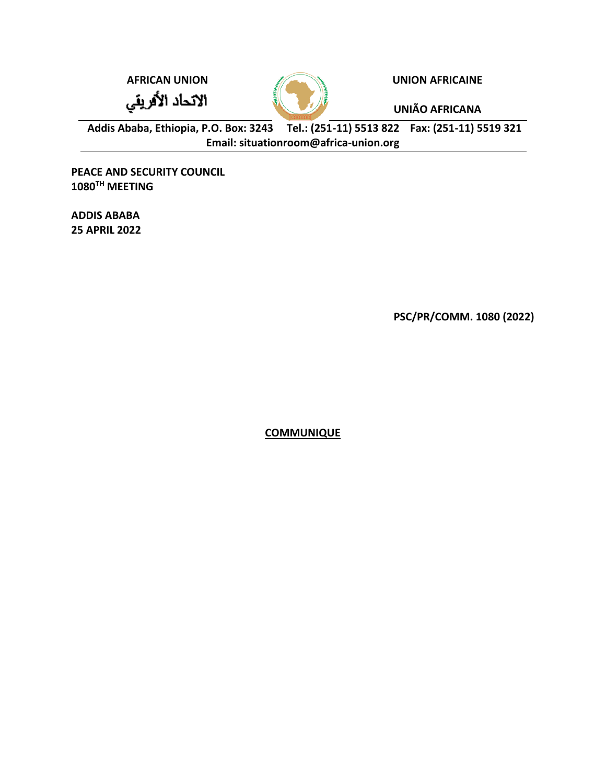الاتحاد الأفريقي



**AFRICAN UNION UNION AFRICAINE**

**UNIÃO AFRICANA**

**Addis Ababa, Ethiopia, P.O. Box: 3243 Tel.: (251-11) 5513 822 Fax: (251-11) 5519 321 Email: situationroom@africa-union.org**

**PEACE AND SECURITY COUNCIL 1080TH MEETING**

**ADDIS ABABA 25 APRIL 2022**

**PSC/PR/COMM. 1080 (2022)** 

**COMMUNIQUE**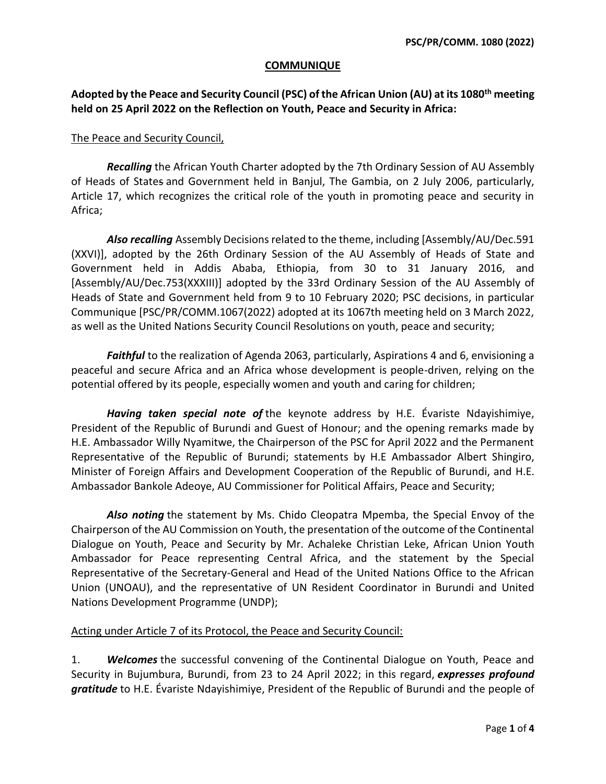## **COMMUNIQUE**

## **Adopted by the Peace and Security Council (PSC) of the African Union (AU) at its 1080th meeting held on 25 April 2022 on the Reflection on Youth, Peace and Security in Africa:**

## The Peace and Security Council,

*Recalling* the African Youth Charter adopted by the 7th Ordinary Session of AU Assembly of Heads of States and Government held in Banjul, The Gambia, on 2 July 2006, particularly, Article 17, which recognizes the critical role of the youth in promoting peace and security in Africa;

*Also recalling* Assembly Decisions related to the theme, including [Assembly/AU/Dec.591 (XXVI)], adopted by the 26th Ordinary Session of the AU Assembly of Heads of State and Government held in Addis Ababa, Ethiopia, from 30 to 31 January 2016, and [Assembly/AU/Dec.753(XXXIII)] adopted by the 33rd Ordinary Session of the AU Assembly of Heads of State and Government held from 9 to 10 February 2020; PSC decisions, in particular Communique [PSC/PR/COMM.1067(2022) adopted at its 1067th meeting held on 3 March 2022, as well as the United Nations Security Council Resolutions on youth, peace and security;

*Faithful* to the realization of Agenda 2063, particularly, Aspirations 4 and 6, envisioning a peaceful and secure Africa and an Africa whose development is people-driven, relying on the potential offered by its people, especially women and youth and caring for children;

*Having taken special note of* the keynote address by H.E. Évariste Ndayishimiye, President of the Republic of Burundi and Guest of Honour; and the opening remarks made by H.E. Ambassador Willy Nyamitwe, the Chairperson of the PSC for April 2022 and the Permanent Representative of the Republic of Burundi; statements by H.E Ambassador Albert Shingiro, Minister of Foreign Affairs and Development Cooperation of the Republic of Burundi, and H.E. Ambassador Bankole Adeoye, AU Commissioner for Political Affairs, Peace and Security;

*Also noting* the statement by Ms. Chido Cleopatra Mpemba, the Special Envoy of the Chairperson of the AU Commission on Youth, the presentation of the outcome of the Continental Dialogue on Youth, Peace and Security by Mr. Achaleke Christian Leke, African Union Youth Ambassador for Peace representing Central Africa, and the statement by the Special Representative of the Secretary-General and Head of the United Nations Office to the African Union (UNOAU), and the representative of UN Resident Coordinator in Burundi and United Nations Development Programme (UNDP);

## Acting under Article 7 of its Protocol, the Peace and Security Council:

1. *Welcomes* the successful convening of the Continental Dialogue on Youth, Peace and Security in Bujumbura, Burundi, from 23 to 24 April 2022; in this regard, *expresses profound gratitude* to H.E. Évariste Ndayishimiye, President of the Republic of Burundi and the people of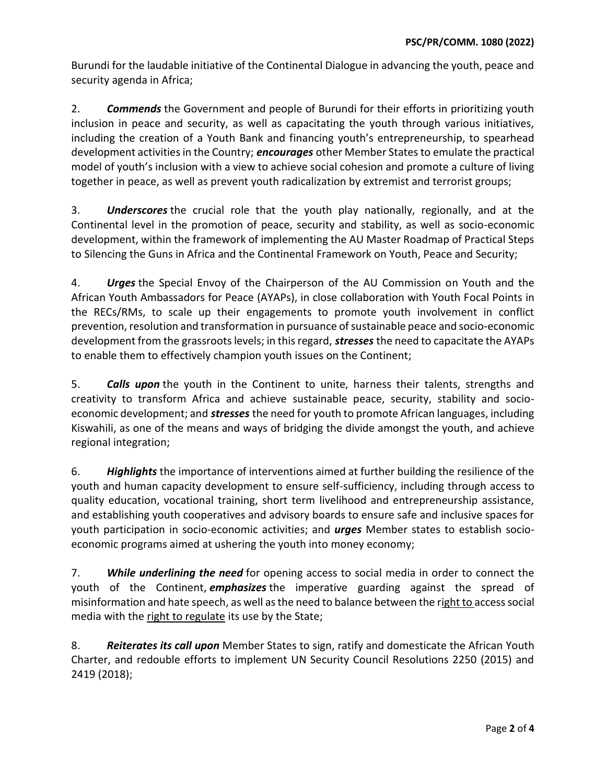Burundi for the laudable initiative of the Continental Dialogue in advancing the youth, peace and security agenda in Africa;

2. *Commends* the Government and people of Burundi for their efforts in prioritizing youth inclusion in peace and security, as well as capacitating the youth through various initiatives, including the creation of a Youth Bank and financing youth's entrepreneurship, to spearhead development activities in the Country; *encourages* other Member Statesto emulate the practical model of youth's inclusion with a view to achieve social cohesion and promote a culture of living together in peace, as well as prevent youth radicalization by extremist and terrorist groups;

3. *Underscores* the crucial role that the youth play nationally, regionally, and at the Continental level in the promotion of peace, security and stability, as well as socio-economic development, within the framework of implementing the AU Master Roadmap of Practical Steps to Silencing the Guns in Africa and the Continental Framework on Youth, Peace and Security;

4. *Urges* the Special Envoy of the Chairperson of the AU Commission on Youth and the African Youth Ambassadors for Peace (AYAPs), in close collaboration with Youth Focal Points in the RECs/RMs, to scale up their engagements to promote youth involvement in conflict prevention, resolution and transformation in pursuance of sustainable peace and socio-economic development from the grassroots levels; in this regard, *stresses* the need to capacitate the AYAPs to enable them to effectively champion youth issues on the Continent;

5. *Calls upon* the youth in the Continent to unite, harness their talents, strengths and creativity to transform Africa and achieve sustainable peace, security, stability and socioeconomic development; and *stresses* the need for youth to promote African languages, including Kiswahili, as one of the means and ways of bridging the divide amongst the youth, and achieve regional integration;

6. *Highlights* the importance of interventions aimed at further building the resilience of the youth and human capacity development to ensure self-sufficiency, including through access to quality education, vocational training, short term livelihood and entrepreneurship assistance, and establishing youth cooperatives and advisory boards to ensure safe and inclusive spaces for youth participation in socio-economic activities; and *urges* Member states to establish socioeconomic programs aimed at ushering the youth into money economy;

7. *While underlining the need* for opening access to social media in order to connect the youth of the Continent, *emphasizes* the imperative guarding against the spread of misinformation and hate speech, as well as the need to balance between the right to access social media with the right to regulate its use by the State;

8. *Reiterates its call upon* Member States to sign, ratify and domesticate the African Youth Charter, and redouble efforts to implement UN Security Council Resolutions 2250 (2015) and 2419 (2018);